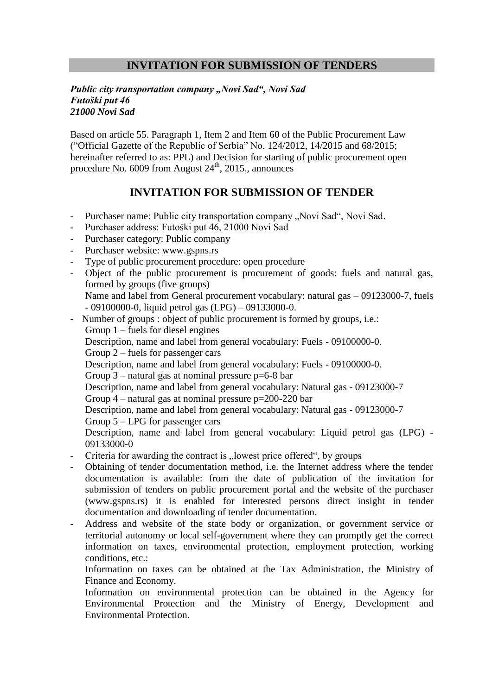## **INVITATION FOR SUBMISSION OF TENDERS**

## *Public city transportation company "Novi Sad", Novi Sad Futoški put 46 21000 Novi Sad*

Based on article 55. Paragraph 1, Item 2 and Item 60 of the Public Procurement Law ("Official Gazette of the Republic of Serbia" No. 124/2012, 14/2015 and 68/2015; hereinafter referred to as: PPL) and Decision for starting of public procurement open procedure No. 6009 from August 24<sup>th</sup>, 2015., announces

## **INVITATION FOR SUBMISSION OF TENDER**

- Purchaser name: Public city transportation company "Novi Sad", Novi Sad.
- Purchaser address: Futoški put 46, 21000 Novi Sad
- Purchaser category: Public company
- Purchaser website: [www.gspns.rs](http://www.gspns.rs/)
- Type of public procurement procedure: open procedure
- Object of the public procurement is procurement of goods: fuels and natural gas, formed by groups (five groups) Name and label from General procurement vocabulary: natural gas – 09123000-7, fuels - 09100000-0, liquid petrol gas (LPG) – 09133000-0.
- Number of groups : object of public procurement is formed by groups, i.e.:
	- Group 1 fuels for diesel engines
	- Description, name and label from general vocabulary: Fuels 09100000-0.
	- Group 2 fuels for passenger cars

Description, name and label from general vocabulary: Fuels - 09100000-0.

Group  $3$  – natural gas at nominal pressure  $p=6-8$  bar

Description, name and label from general vocabulary: Natural gas - 09123000-7

Group  $4$  – natural gas at nominal pressure  $p=200-220$  bar

Description, name and label from general vocabulary: Natural gas - 09123000-7

Group 5 – LPG for passenger cars

Description, name and label from general vocabulary: Liquid petrol gas (LPG) - 09133000-0

- Criteria for awarding the contract is "lowest price offered", by groups
- Obtaining of tender documentation method, i.e. the Internet address where the tender documentation is available: from the date of publication of the invitation for submission of tenders on public procurement portal and the website of the purchaser (www.gspns.rs) it is enabled for interested persons direct insight in tender documentation and downloading of tender documentation.
- Address and website of the state body or organization, or government service or territorial autonomy or local self-government where they can promptly get the correct information on taxes, environmental protection, employment protection, working conditions, etc.:

Information on taxes can be obtained at the Tax Administration, the Ministry of Finance and Economy.

Information on environmental protection can be obtained in the Agency for Environmental Protection and the Ministry of Energy, Development and Environmental Protection.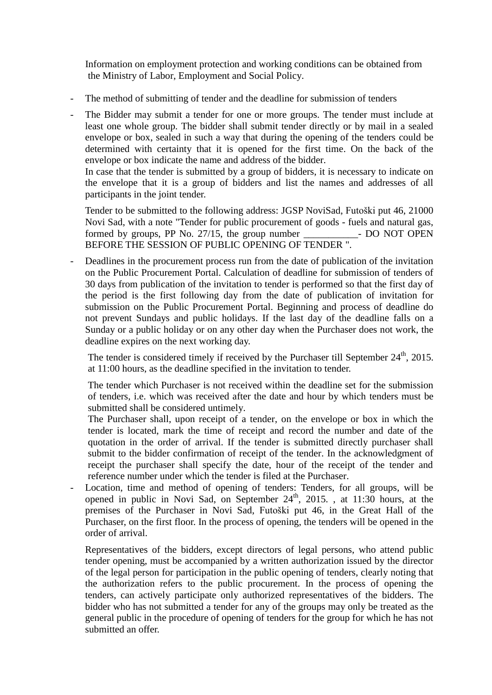Information on employment protection and working conditions can be obtained from the Ministry of Labor, Employment and Social Policy.

- The method of submitting of tender and the deadline for submission of tenders
- The Bidder may submit a tender for one or more groups. The tender must include at least one whole group. The bidder shall submit tender directly or by mail in a sealed envelope or box, sealed in such a way that during the opening of the tenders could be determined with certainty that it is opened for the first time. On the back of the envelope or box indicate the name and address of the bidder.

In case that the tender is submitted by a group of bidders, it is necessary to indicate on the envelope that it is a group of bidders and list the names and addresses of all participants in the joint tender.

Tender to be submitted to the following address: JGSP NoviSad, Futoški put 46, 21000 Novi Sad, with a note "Tender for public procurement of goods - fuels and natural gas, formed by groups, PP No. 27/15, the group number - DO NOT OPEN BEFORE THE SESSION OF PUBLIC OPENING OF TENDER ".

- Deadlines in the procurement process run from the date of publication of the invitation on the Public Procurement Portal. Calculation of deadline for submission of tenders of 30 days from publication of the invitation to tender is performed so that the first day of the period is the first following day from the date of publication of invitation for submission on the Public Procurement Portal. Beginning and process of deadline do not prevent Sundays and public holidays. If the last day of the deadline falls on a Sunday or a public holiday or on any other day when the Purchaser does not work, the deadline expires on the next working day.

The tender is considered timely if received by the Purchaser till September  $24<sup>th</sup>$ ,  $2015$ . at 11:00 hours, as the deadline specified in the invitation to tender.

The tender which Purchaser is not received within the deadline set for the submission of tenders, i.e. which was received after the date and hour by which tenders must be submitted shall be considered untimely.

The Purchaser shall, upon receipt of a tender, on the envelope or box in which the tender is located, mark the time of receipt and record the number and date of the quotation in the order of arrival. If the tender is submitted directly purchaser shall submit to the bidder confirmation of receipt of the tender. In the acknowledgment of receipt the purchaser shall specify the date, hour of the receipt of the tender and reference number under which the tender is filed at the Purchaser.

Location, time and method of opening of tenders: Tenders, for all groups, will be opened in public in Novi Sad, on September  $24<sup>th</sup>$ ,  $2015$ . , at 11:30 hours, at the premises of the Purchaser in Novi Sad, Futoški put 46, in the Great Hall of the Purchaser, on the first floor. In the process of opening, the tenders will be opened in the order of arrival.

Representatives of the bidders, except directors of legal persons, who attend public tender opening, must be accompanied by a written authorization issued by the director of the legal person for participation in the public opening of tenders, clearly noting that the authorization refers to the public procurement. In the process of opening the tenders, can actively participate only authorized representatives of the bidders. The bidder who has not submitted a tender for any of the groups may only be treated as the general public in the procedure of opening of tenders for the group for which he has not submitted an offer.